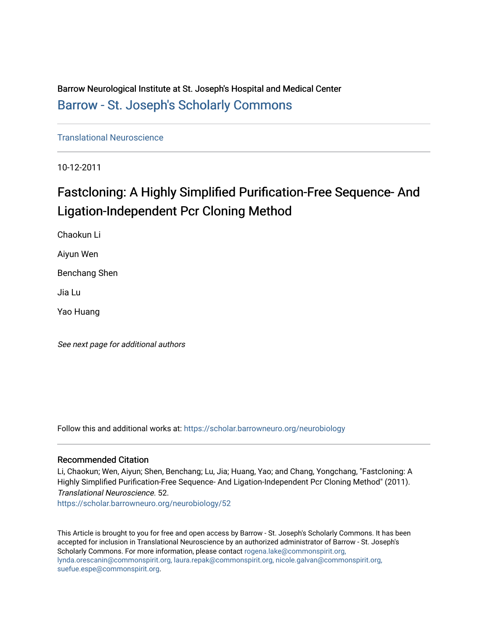Barrow Neurological Institute at St. Joseph's Hospital and Medical Center [Barrow - St. Joseph's Scholarly Commons](https://scholar.barrowneuro.org/) 

[Translational Neuroscience](https://scholar.barrowneuro.org/neurobiology)

10-12-2011

## Fastcloning: A Highly Simplified Purification-Free Sequence- And Ligation-Independent Pcr Cloning Method

Chaokun Li Aiyun Wen Benchang Shen Jia Lu Yao Huang

See next page for additional authors

Follow this and additional works at: [https://scholar.barrowneuro.org/neurobiology](https://scholar.barrowneuro.org/neurobiology?utm_source=scholar.barrowneuro.org%2Fneurobiology%2F52&utm_medium=PDF&utm_campaign=PDFCoverPages)

#### Recommended Citation

Li, Chaokun; Wen, Aiyun; Shen, Benchang; Lu, Jia; Huang, Yao; and Chang, Yongchang, "Fastcloning: A Highly Simplified Purification-Free Sequence- And Ligation-Independent Pcr Cloning Method" (2011). Translational Neuroscience. 52.

[https://scholar.barrowneuro.org/neurobiology/52](https://scholar.barrowneuro.org/neurobiology/52?utm_source=scholar.barrowneuro.org%2Fneurobiology%2F52&utm_medium=PDF&utm_campaign=PDFCoverPages) 

This Article is brought to you for free and open access by Barrow - St. Joseph's Scholarly Commons. It has been accepted for inclusion in Translational Neuroscience by an authorized administrator of Barrow - St. Joseph's Scholarly Commons. For more information, please contact [rogena.lake@commonspirit.org,](mailto:rogena.lake@commonspirit.org,%20lynda.orescanin@commonspirit.org,%20laura.repak@commonspirit.org,%20nicole.galvan@commonspirit.org,%20suefue.espe@commonspirit.org) [lynda.orescanin@commonspirit.org, laura.repak@commonspirit.org, nicole.galvan@commonspirit.org,](mailto:rogena.lake@commonspirit.org,%20lynda.orescanin@commonspirit.org,%20laura.repak@commonspirit.org,%20nicole.galvan@commonspirit.org,%20suefue.espe@commonspirit.org)  [suefue.espe@commonspirit.org](mailto:rogena.lake@commonspirit.org,%20lynda.orescanin@commonspirit.org,%20laura.repak@commonspirit.org,%20nicole.galvan@commonspirit.org,%20suefue.espe@commonspirit.org).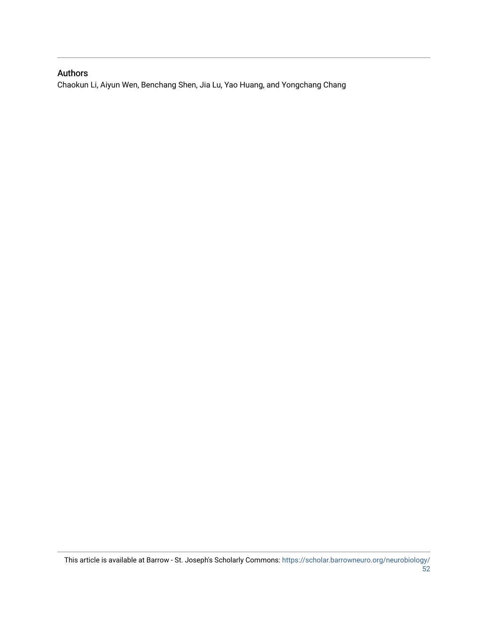## Authors

Chaokun Li, Aiyun Wen, Benchang Shen, Jia Lu, Yao Huang, and Yongchang Chang

This article is available at Barrow - St. Joseph's Scholarly Commons: [https://scholar.barrowneuro.org/neurobiology/](https://scholar.barrowneuro.org/neurobiology/52) [52](https://scholar.barrowneuro.org/neurobiology/52)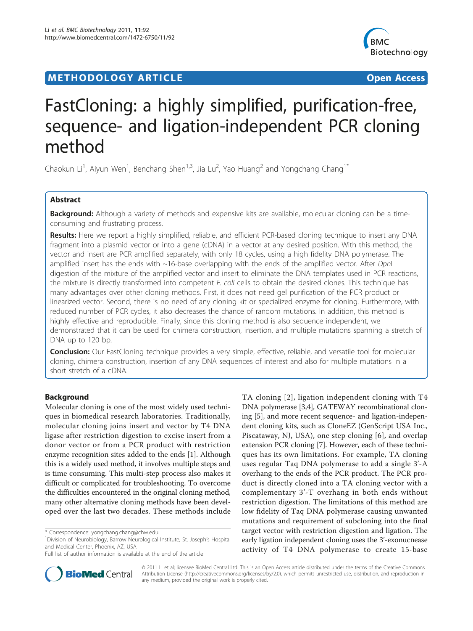## **METHODOLOGY ARTICLE Example 20 and 20 and 20 and 20 and 20 and 20 and 20 and 20 and 20 and 20 and 20 and 20 and 20 and 20 and 20 and 20 and 20 and 20 and 20 and 20 and 20 and 20 and 20 and 20 and 20 and 20 and 20 and 20**



# FastCloning: a highly simplified, purification-free, sequence- and ligation-independent PCR cloning method

Chaokun Li<sup>1</sup>, Aiyun Wen<sup>1</sup>, Benchang Shen<sup>1,3</sup>, Jia Lu<sup>2</sup>, Yao Huang<sup>2</sup> and Yongchang Chang<sup>1\*</sup>

#### Abstract

Background: Although a variety of methods and expensive kits are available, molecular cloning can be a timeconsuming and frustrating process.

Results: Here we report a highly simplified, reliable, and efficient PCR-based cloning technique to insert any DNA fragment into a plasmid vector or into a gene (cDNA) in a vector at any desired position. With this method, the vector and insert are PCR amplified separately, with only 18 cycles, using a high fidelity DNA polymerase. The amplified insert has the ends with ~16-base overlapping with the ends of the amplified vector. After *DpnI* digestion of the mixture of the amplified vector and insert to eliminate the DNA templates used in PCR reactions, the mixture is directly transformed into competent E. coli cells to obtain the desired clones. This technique has many advantages over other cloning methods. First, it does not need gel purification of the PCR product or linearized vector. Second, there is no need of any cloning kit or specialized enzyme for cloning. Furthermore, with reduced number of PCR cycles, it also decreases the chance of random mutations. In addition, this method is highly effective and reproducible. Finally, since this cloning method is also sequence independent, we demonstrated that it can be used for chimera construction, insertion, and multiple mutations spanning a stretch of DNA up to 120 bp.

**Conclusion:** Our FastCloning technique provides a very simple, effective, reliable, and versatile tool for molecular cloning, chimera construction, insertion of any DNA sequences of interest and also for multiple mutations in a short stretch of a cDNA.

#### Background

Molecular cloning is one of the most widely used techniques in biomedical research laboratories. Traditionally, molecular cloning joins insert and vector by T4 DNA ligase after restriction digestion to excise insert from a donor vector or from a PCR product with restriction enzyme recognition sites added to the ends [\[1](#page-11-0)]. Although this is a widely used method, it involves multiple steps and is time consuming. This multi-step process also makes it difficult or complicated for troubleshooting. To overcome the difficulties encountered in the original cloning method, many other alternative cloning methods have been developed over the last two decades. These methods include

Full list of author information is available at the end of the article





© 2011 Li et al; licensee BioMed Central Ltd. This is an Open Access article distributed under the terms of the Creative Commons Attribution License [\(http://creativecommons.org/licenses/by/2.0](http://creativecommons.org/licenses/by/2.0)), which permits unrestricted use, distribution, and reproduction in any medium, provided the original work is properly cited.

<sup>\*</sup> Correspondence: [yongchang.chang@chw.edu](mailto:yongchang.chang@chw.edu)

<sup>&</sup>lt;sup>1</sup> Division of Neurobiology, Barrow Neurological Institute, St. Joseph's Hospital and Medical Center, Phoenix, AZ, USA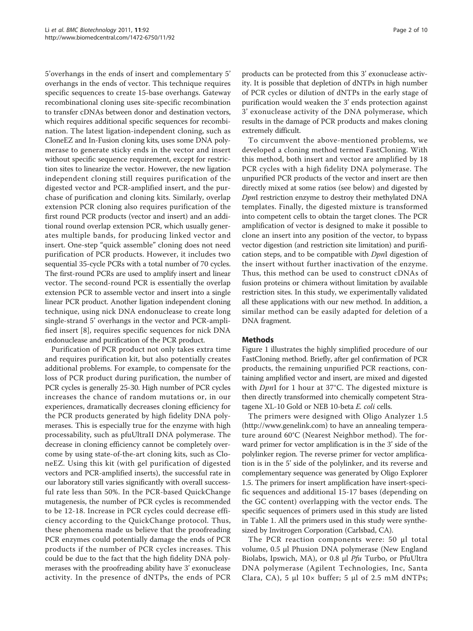5'overhangs in the ends of insert and complementary 5' overhangs in the ends of vector. This technique requires specific sequences to create 15-base overhangs. Gateway recombinational cloning uses site-specific recombination to transfer cDNAs between donor and destination vectors, which requires additional specific sequences for recombination. The latest ligation-independent cloning, such as CloneEZ and In-Fusion cloning kits, uses some DNA polymerase to generate sticky ends in the vector and insert without specific sequence requirement, except for restriction sites to linearize the vector. However, the new ligation independent cloning still requires purification of the digested vector and PCR-amplified insert, and the purchase of purification and cloning kits. Similarly, overlap extension PCR cloning also requires purification of the first round PCR products (vector and insert) and an additional round overlap extension PCR, which usually generates multiple bands, for producing linked vector and insert. One-step "quick assemble" cloning does not need purification of PCR products. However, it includes two sequential 35-cycle PCRs with a total number of 70 cycles. The first-round PCRs are used to amplify insert and linear vector. The second-round PCR is essentially the overlap extension PCR to assemble vector and insert into a single linear PCR product. Another ligation independent cloning technique, using nick DNA endonuclease to create long single-strand 5' overhangs in the vector and PCR-amplified insert [[8\]](#page-11-0), requires specific sequences for nick DNA endonuclease and purification of the PCR product.

Purification of PCR product not only takes extra time and requires purification kit, but also potentially creates additional problems. For example, to compensate for the loss of PCR product during purification, the number of PCR cycles is generally 25-30. High number of PCR cycles increases the chance of random mutations or, in our experiences, dramatically decreases cloning efficiency for the PCR products generated by high fidelity DNA polymerases. This is especially true for the enzyme with high processability, such as pfuUltraII DNA polymerase. The decrease in cloning efficiency cannot be completely overcome by using state-of-the-art cloning kits, such as CloneEZ. Using this kit (with gel purification of digested vectors and PCR-amplified inserts), the successful rate in our laboratory still varies significantly with overall successful rate less than 50%. In the PCR-based QuickChange mutagenesis, the number of PCR cycles is recommended to be 12-18. Increase in PCR cycles could decrease efficiency according to the QuickChange protocol. Thus, these phenomena made us believe that the proofreading PCR enzymes could potentially damage the ends of PCR products if the number of PCR cycles increases. This could be due to the fact that the high fidelity DNA polymerases with the proofreading ability have 3' exonuclease activity. In the presence of dNTPs, the ends of PCR products can be protected from this 3' exonuclease activity. It is possible that depletion of dNTPs in high number of PCR cycles or dilution of dNTPs in the early stage of purification would weaken the 3' ends protection against 3' exonuclease activity of the DNA polymerase, which results in the damage of PCR products and makes cloning extremely difficult.

To circumvent the above-mentioned problems, we developed a cloning method termed FastCloning. With this method, both insert and vector are amplified by 18 PCR cycles with a high fidelity DNA polymerase. The unpurified PCR products of the vector and insert are then directly mixed at some ratios (see below) and digested by DpnI restriction enzyme to destroy their methylated DNA templates. Finally, the digested mixture is transformed into competent cells to obtain the target clones. The PCR amplification of vector is designed to make it possible to clone an insert into any position of the vector, to bypass vector digestion (and restriction site limitation) and purification steps, and to be compatible with DpnI digestion of the insert without further inactivation of the enzyme. Thus, this method can be used to construct cDNAs of fusion proteins or chimera without limitation by available restriction sites. In this study, we experimentally validated all these applications with our new method. In addition, a similar method can be easily adapted for deletion of a DNA fragment.

#### Methods

Figure [1](#page-4-0) illustrates the highly simplified procedure of our FastCloning method. Briefly, after gel confirmation of PCR products, the remaining unpurified PCR reactions, containing amplified vector and insert, are mixed and digested with DpnI for 1 hour at 37°C. The digested mixture is then directly transformed into chemically competent Stratagene XL-10 Gold or NEB 10-beta E. coli cells.

The primers were designed with Oligo Analyzer 1.5 ([http://www.genelink.com\)](http://www.genelink.com) to have an annealing temperature around 60°C (Nearest Neighbor method). The forward primer for vector amplification is in the 3' side of the polylinker region. The reverse primer for vector amplification is in the 5' side of the polylinker, and its reverse and complementary sequence was generated by Oligo Explorer 1.5. The primers for insert amplification have insert-specific sequences and additional 15-17 bases (depending on the GC content) overlapping with the vector ends. The specific sequences of primers used in this study are listed in Table [1](#page-5-0). All the primers used in this study were synthesized by Invitrogen Corporation (Carlsbad, CA).

The PCR reaction components were: 50 μl total volume, 0.5 μl Phusion DNA polymerase (New England Biolabs, Ipswich, MA), or 0.8  $\mu$ l *Pfu* Turbo, or PfuUltra DNA polymerase (Agilent Technologies, Inc, Santa Clara, CA), 5 μl  $10 \times$  buffer; 5 μl of 2.5 mM dNTPs;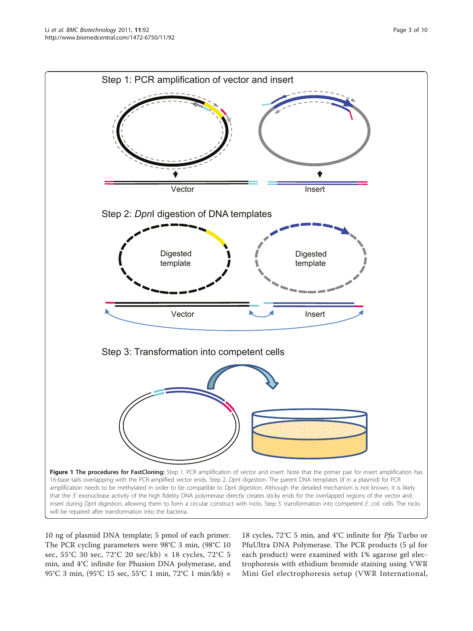<span id="page-4-0"></span>

10 ng of plasmid DNA template; 5 pmol of each primer. The PCR cycling parameters were 98°C 3 min, (98°C 10 sec, 55°C 30 sec, 72°C 20 sec/kb) × 18 cycles, 72°C 5 min, and 4°C infinite for Phusion DNA polymerase, and 95°C 3 min, (95°C 15 sec, 55°C 1 min, 72°C 1 min/kb)  $\times$ 

18 cycles, 72°C 5 min, and 4°C infinite for Pfu Turbo or PfuUltra DNA Polymerase. The PCR products (5 μl for each product) were examined with 1% agarose gel electrophoresis with ethidium bromide staining using VWR Mini Gel electrophoresis setup (VWR International,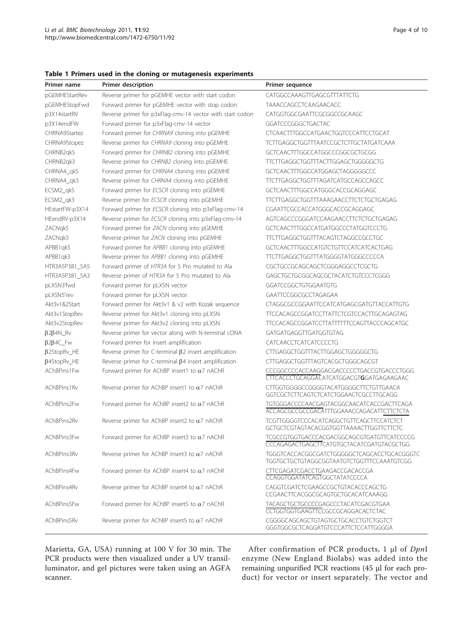<span id="page-5-0"></span>Table 1 Primers used in the cloning or mutagenesis experiments

| Primer name             | <b>Primer description</b>                                    | Primer sequence                                                                               |
|-------------------------|--------------------------------------------------------------|-----------------------------------------------------------------------------------------------|
| pGEMHEStartRev          | Reverse primer for pGEMHE vector with start codon            | CATGGCCAAAGTTGAGCGTTTATTCTG                                                                   |
| pGEMHEStopFwd           | Forward primer for pGEMHE vector with stop codon             | TAAACCAGCCTCAAGAACACC                                                                         |
| p3X14startRV            | Reverse primer for p3xFlag-cmv-14 vector with start codon    | CATGGTGGCGAATTCGCGGCCGCAAGC                                                                   |
| p3X14endFW              | Forward primer for p3xFlag-cmv-14 vector                     | GGATCCCGGGCTGACTAC                                                                            |
| CHRNA9Startez           | Forward primer for CHRNA9 cloning into pGEMHE                | <b>CTCAACTTTGGCCATGAACTGGTCCCATTCCTGCAT</b>                                                   |
| CHRNA9Stopez            | Reverse primer for CHRNA9 cloning into pGEMHE                | TCTTGAGGCTGGTTTAATCCGCTCTTGCTATGATCAAA                                                        |
| CHRNB2qk5               | Forward primer for CHRNB2 cloning into pGEMHE                | GCTCAACTTTGGCCATGGCCCGGCGCTGCGG                                                               |
| CHRNB2qk3               | Reverse primer for CHRNB2 cloning into pGEMHE                | TICTIGAGGCTGGTTTACTTGGAGCTGGGGGCTG                                                            |
| CHRNA4_qk5              | Forward primer for CHRNA4 cloning into pGEMHE                | GCTCAACTTTGGCCATGGAGCTAGGGGGCCC                                                               |
| CHRNA4_qk3              | Reverse primer for CHRNA4 cloning into pGEMHE                | TICTIGAGGCTGGTTTAGATCATGCCAGCCAGCC                                                            |
| ECSM2_qk5               | Forward primer for ECSCR cloning into pGEMHE                 | GCTCAACTTTGGCCATGGGCACCGCAGGAGC                                                               |
| ECSM2_qk3               | Reverse primer for ECSCR cloning into pGEMHE                 | TTCTTGAGGCTGGTTTAAAGAACCTTCTCTGCTGAGAG                                                        |
| HEstartFW-p3X14         | Forward primer for ECSCR cloning into p3xFlag-cmv-14         | CGAATTCGCCACCATGGGCACCGCAGGAGC                                                                |
| HEendRV-p3X14           | Reverse primer for ECSCR cloning into p3xFlag-cmv-14         | AGTCAGCCCGGGATCCAAGAACCTTCTCTGCTGAGAG                                                         |
| ZACNgk5                 | Forward primer for ZACN cloning into pGEMHE                  | GCTCAACTTTGGCCATGATGGCCCTATGGTCCCTG                                                           |
| ZACNgk3                 | Reverse primer for ZACN cloning into pGEMHE                  | TICTTGAGGCTGGTTTACAGTCTAGGCCGCCTGC                                                            |
| APBB1qk5                | Forward primer for APBB1 cloning into pGEMHE                 | GCTCAACTTTGGCCATGTCTGTTCCATCATCACTGAG                                                         |
| APBB1qk3                | Reverse primer for APBB1 cloning into pGEMHE                 | TTCTTGAGGCTGGTTTATGGGGTATGGGCCCCCA                                                            |
| HTR3A5P381_5A5          | Forward primer of HTR3A for 5 Pro mutated to Ala             | CGCTGCCGCAGCAGCTCGGGAGGCCTCGCTG                                                               |
| HTR3A5P381_5A3          | Reverse primer of HTR3A for 5 Pro mutated to Ala             | GAGCTGCTGCGGCAGCGCTACATCTGTCCCTCGGG                                                           |
| pLXSN3'fwd              | Forward primer for pLXSN vector                              | GGATCCGGCTGTGGAATGTG                                                                          |
| pLXSN5'rev              | Forward primer for pLXSN vector                              | GAATTCCGGCGCCTAGAGAA                                                                          |
| Akt3v1&2Start           | Forward primer for Akt3v1 & v2 with Kozak sequence           | CTAGGCGCCGGAATTCCATCATGAGCGATGTTACCATTGTG                                                     |
| Akt3v1StopRev           | Reverse primer for Akt3v1 cloning into pLXSN                 | TTCCACAGCCGGATCCTTATTCTCGTCCACTTGCAGAGTAG                                                     |
| Akt3v2StopRev           | Reverse primer for Akt3v2 cloning into pLXSN                 | TTCCACAGCCGGATCCTTATTTTTTCCAGTTACCCAGCATGC                                                    |
| $\beta$ 2 $\beta$ 4N_Rv | Reverse primer for vector along with N-terminal cDNA         | GATGATGAGGTTGATGGTGTAG                                                                        |
| $\beta$ 2 $\beta$ 4C_Fw | Forward primer for insert amplification                      | CATCAACCTCATCATCCCCTG                                                                         |
| $\beta$ 2StopRv_HE      | Reverse primer for C-terminal $\beta$ 2 insert amplification | CTTGAGGCTGGTTTACTTGGAGCTGGGGGCTG                                                              |
| $\beta$ 4StopRv_HE      | Reverse primer for C-terminal $\beta$ 4 insert amplification | CTTGAGGCTGGTTTAGTCACGCTGGGCAGCGT                                                              |
| AChBPins1Fw             | Forward primer for AChBP insert1 to $\alpha$ 7 nAChR         | CCCGGCCCCACCAAGGACGACCCCCTGACCGTGACCCTGGG<br>CTTCACCCTGCAGGACATCATGGACGTGGATGAGAAGAAC         |
| AChBPins1Rv             | Reverse primer for AChBP insert1 to $\alpha$ 7 nAChR         | CTTGGTGGGGCCGGGGTACATGGGGCTTCTGTTGAACA<br>GGTCGCTCTTCAGTCTCATCTGGAACTCGCCTTGCAGG              |
| AChBPins2Fw             | Forward primer for AChBP insert2 to $\alpha$ 7 nAChR         | TGTGGGACCCCAACGAGTACGGCAACATCACCGACTTCAGA<br><b>ACCAGCGCCGCCGACATTTGGAAACCAGACATTCTTCTCTA</b> |
| AChBPins2Rv             | Reverse primer for AChBP insert2 to $\alpha$ 7 nAChR         | <b>TCGTTGGGGTCCCACATCAGGCTGTTCAGCTTCCATCTCT</b><br>GCTGCTCGTAGTACACGGTGGTTAAAACTTGGTTCTTCTC   |
| AChBPins3Fw             | Forward primer for AChBP insert3 to $\alpha$ 7 nAChR         | TCGCCGTGGTGACCCACGACGGCAGCGTGATGTTCATCCCCG<br>CCCAGAGACTGAGCTTCATGTGCTACATCGATGTACGCTGG       |
| AChBPins3Rv             | Reverse primer for AChBP insert3 to $\alpha$ 7 nAChR         | TGGGTCACCACGGCGATCTGGGGGCTCAGCACCTGCACGGGTC<br>TGGTGCTGCTGTAGGCGGTAATGTCTGGTTTCCAAATGTCGG     |
| AChBPins4Fw             | Forward primer for AChBP insert4 to $\alpha$ 7 nAChR         | CTTCGAGATCGACCTGAAGACCGACACCGA<br>CCAGGTGGATATCAGTGGCTATATCCCCA                               |
| AChBPins4Rv             | Reverse primer for AChBP insert4 to $\alpha$ 7 nAChR         | CAGGTCGATCTCGAAGCCGCTGTACACCCAGCTG<br>CCGAACTTCACGGCGCAGTGCTGCACATCAAAGG                      |
| AChBPins5Fw             | Forward primer for AChBP insert5 to $\alpha$ 7 nAChR         | TACAGCTGCTGCCCCGAGCCCTACATCGACGTGAA<br>CCTGGTGGTGAAGTTCCGCCGCAGGACACTCTAC                     |
| AChBPins5Rv             | Reverse primer for AChBP insert5 to $\alpha$ 7 nAChR         | CGGGGCAGCAGCTGTAGTGCTGCACCTGTCTGGTCT<br>GGGTGGCGCTCAGGATGTCCCATTCTCCATTGGGGA                  |

Marietta, GA, USA) running at 100 V for 30 min. The PCR products were then visualized under a UV transilluminator, and gel pictures were taken using an AGFA scanner.

After confirmation of PCR products, 1 μl of DpnI enzyme (New England Biolabs) was added into the remaining unpurified PCR reactions (45 μl for each product) for vector or insert separately. The vector and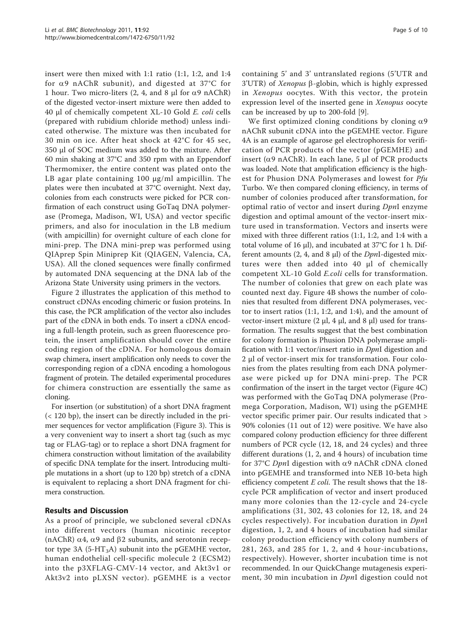insert were then mixed with 1:1 ratio (1:1, 1:2, and 1:4 for  $\alpha$ 9 nAChR subunit), and digested at 37°C for 1 hour. Two micro-liters (2, 4, and 8 μl for  $α9$  nAChR) of the digested vector-insert mixture were then added to 40 μl of chemically competent XL-10 Gold E. coli cells (prepared with rubidium chloride method) unless indicated otherwise. The mixture was then incubated for 30 min on ice. After heat shock at 42°C for 45 sec, 350 μl of SOC medium was added to the mixture. After 60 min shaking at 37°C and 350 rpm with an Eppendorf Thermomixer, the entire content was plated onto the LB agar plate containing 100 μg/ml ampicillin. The plates were then incubated at 37°C overnight. Next day, colonies from each constructs were picked for PCR confirmation of each construct using GoTaq DNA polymerase (Promega, Madison, WI, USA) and vector specific primers, and also for inoculation in the LB medium (with ampicillin) for overnight culture of each clone for mini-prep. The DNA mini-prep was performed using QIAprep Spin Miniprep Kit (QIAGEN, Valencia, CA, USA). All the cloned sequences were finally confirmed by automated DNA sequencing at the DNA lab of the Arizona State University using primers in the vectors.

Figure [2](#page-7-0) illustrates the application of this method to construct cDNAs encoding chimeric or fusion proteins. In this case, the PCR amplification of the vector also includes part of the cDNA in both ends. To insert a cDNA encoding a full-length protein, such as green fluorescence protein, the insert amplification should cover the entire coding region of the cDNA. For homologous domain swap chimera, insert amplification only needs to cover the corresponding region of a cDNA encoding a homologous fragment of protein. The detailed experimental procedures for chimera construction are essentially the same as cloning.

For insertion (or substitution) of a short DNA fragment (< 120 bp), the insert can be directly included in the primer sequences for vector amplification (Figure [3](#page-8-0)). This is a very convenient way to insert a short tag (such as myc tag or FLAG-tag) or to replace a short DNA fragment for chimera construction without limitation of the availability of specific DNA template for the insert. Introducing multiple mutations in a short (up to 120 bp) stretch of a cDNA is equivalent to replacing a short DNA fragment for chimera construction.

#### Results and Discussion

As a proof of principle, we subcloned several cDNAs into different vectors (human nicotinic receptor (nAChR)  $\alpha$ 4,  $\alpha$ 9 and  $\beta$ 2 subunits, and serotonin receptor type  $3A$  (5-HT<sub>3</sub>A) subunit into the pGEMHE vector, human endothelial cell-specific molecule 2 (ECSM2) into the p3XFLAG-CMV-14 vector, and Akt3v1 or Akt3v2 into pLXSN vector). pGEMHE is a vector containing 5' and 3' untranslated regions (5'UTR and  $3'UTR$ ) of *Xenopus*  $\beta$ -globin, which is highly expressed in Xenopus oocytes. With this vector, the protein expression level of the inserted gene in Xenopus oocyte can be increased by up to 200-fold [\[9](#page-11-0)].

We first optimized cloning conditions by cloning  $\alpha$ 9 nAChR subunit cDNA into the pGEMHE vector. Figure [4A](#page-9-0) is an example of agarose gel electrophoresis for verification of PCR products of the vector (pGEMHE) and insert ( $\alpha$ 9 nAChR). In each lane, 5 μl of PCR products was loaded. Note that amplification efficiency is the highest for Phusion DNA Polymerases and lowest for Pfu Turbo. We then compared cloning efficiency, in terms of number of colonies produced after transformation, for optimal ratio of vector and insert during DpnI enzyme digestion and optimal amount of the vector-insert mixture used in transformation. Vectors and inserts were mixed with three different ratios (1:1, 1:2, and 1:4 with a total volume of 16 μl), and incubated at 37°C for 1 h. Different amounts (2, 4, and 8  $\mu$ l) of the *Dpn*I-digested mixtures were then added into 40 μl of chemically competent XL-10 Gold E.coli cells for transformation. The number of colonies that grew on each plate was counted next day. Figure [4B](#page-9-0) shows the number of colonies that resulted from different DNA polymerases, vector to insert ratios (1:1, 1:2, and 1:4), and the amount of vector-insert mixture  $(2 \mu l, 4 \mu l,$  and  $8 \mu l)$  used for transformation. The results suggest that the best combination for colony formation is Phusion DNA polymerase amplification with 1:1 vector/insert ratio in *DpnI* digestion and 2 μl of vector-insert mix for transformation. Four colonies from the plates resulting from each DNA polymerase were picked up for DNA mini-prep. The PCR confirmation of the insert in the target vector (Figure [4C](#page-9-0)) was performed with the GoTaq DNA polymerase (Promega Corporation, Madison, WI) using the pGEMHE vector specific primer pair. Our results indicated that > 90% colonies (11 out of 12) were positive. We have also compared colony production efficiency for three different numbers of PCR cycle (12, 18, and 24 cycles) and three different durations (1, 2, and 4 hours) of incubation time for 37°C DpnI digestion with  $\alpha$ 9 nAChR cDNA cloned into pGEMHE and transformed into NEB 10-beta high efficiency competent E coli. The result shows that the 18cycle PCR amplification of vector and insert produced many more colonies than the 12-cycle and 24-cycle amplifications (31, 302, 43 colonies for 12, 18, and 24 cycles respectively). For incubation duration in DpnI digestion, 1, 2, and 4 hours of incubation had similar colony production efficiency with colony numbers of 281, 263, and 285 for 1, 2, and 4 hour-incubations, respectively). However, shorter incubation time is not recommended. In our QuickChange mutagenesis experiment, 30 min incubation in *DpnI* digestion could not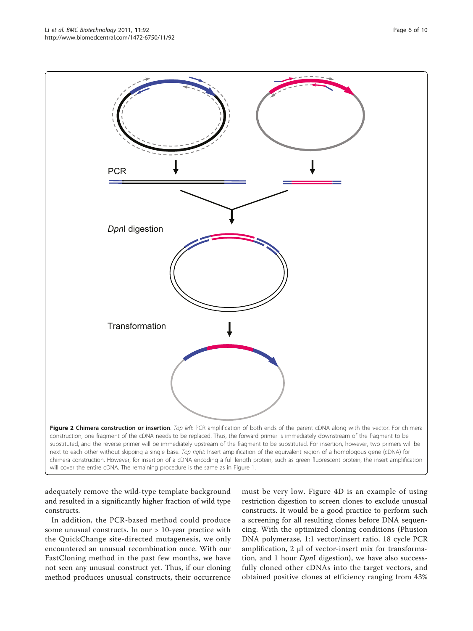adequately remove the wild-type template background and resulted in a significantly higher fraction of wild type constructs.

In addition, the PCR-based method could produce some unusual constructs. In our  $> 10$ -year practice with the QuickChange site-directed mutagenesis, we only encountered an unusual recombination once. With our FastCloning method in the past few months, we have not seen any unusual construct yet. Thus, if our cloning method produces unusual constructs, their occurrence

must be very low. Figure [4D](#page-9-0) is an example of using restriction digestion to screen clones to exclude unusual constructs. It would be a good practice to perform such a screening for all resulting clones before DNA sequencing. With the optimized cloning conditions (Phusion DNA polymerase, 1:1 vector/insert ratio, 18 cycle PCR amplification, 2 μl of vector-insert mix for transformation, and 1 hour *DpnI* digestion), we have also successfully cloned other cDNAs into the target vectors, and obtained positive clones at efficiency ranging from 43%



<span id="page-7-0"></span>Li et al. BMC Biotechnology 2011, <sup>11</sup>:92 http://www.biomedcentral.com/1472-6750/11/92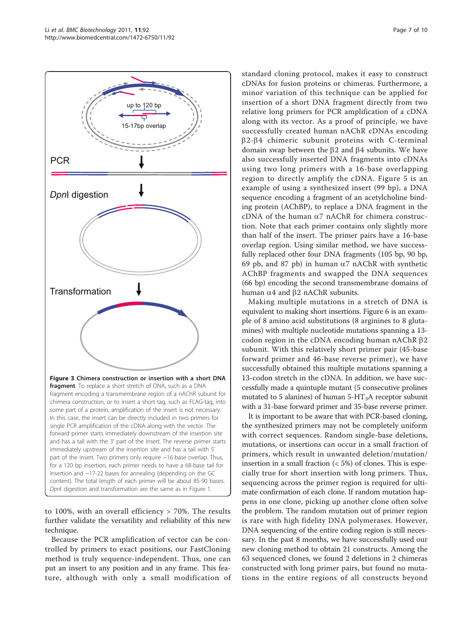<span id="page-8-0"></span>

to 100%, with an overall efficiency > 70%. The results further validate the versatility and reliability of this new technique.

Because the PCR amplification of vector can be controlled by primers to exact positions, our FastCloning method is truly sequence-independent. Thus, one can put an insert to any position and in any frame. This feature, although with only a small modification of standard cloning protocol, makes it easy to construct cDNAs for fusion proteins or chimeras. Furthermore, a minor variation of this technique can be applied for insertion of a short DNA fragment directly from two relative long primers for PCR amplification of a cDNA along with its vector. As a proof of principle, we have successfully created human nAChR cDNAs encoding  $\beta$ 2- $\beta$ 4 chimeric subunit proteins with C-terminal domain swap between the  $\beta$ 2 and  $\beta$ 4 subunits. We have also successfully inserted DNA fragments into cDNAs using two long primers with a 16-base overlapping region to directly amplify the cDNA. Figure [5](#page-10-0) is an example of using a synthesized insert (99 bp), a DNA sequence encoding a fragment of an acetylcholine binding protein (AChBP), to replace a DNA fragment in the cDNA of the human  $\alpha$ 7 nAChR for chimera construction. Note that each primer contains only slightly more than half of the insert. The primer pairs have a 16-base overlap region. Using similar method, we have successfully replaced other four DNA fragments (105 bp, 90 bp, 69 pb, and 87 pb) in human  $\alpha$ 7 nAChR with synthetic AChBP fragments and swapped the DNA sequences (66 bp) encoding the second transmembrane domains of human  $\alpha$ 4 and  $\beta$ 2 nAChR subunits.

Making multiple mutations in a stretch of DNA is equivalent to making short insertions. Figure [6](#page-10-0) is an example of 8 amino acid substitutions (8 arginines to 8 glutamines) with multiple nucleotide mutations spanning a 13 codon region in the cDNA encoding human nAChR  $\beta$ 2 subunit. With this relatively short primer pair (45-base forward primer and 46-base reverse primer), we have successfully obtained this multiple mutations spanning a 13-codon stretch in the cDNA. In addition, we have successfully made a quintuple mutant (5 consecutive prolines mutated to 5 alanines) of human  $5-HT_3A$  receptor subunit with a 31-base forward primer and 35-base reverse primer.

It is important to be aware that with PCR-based cloning, the synthesized primers may not be completely uniform with correct sequences. Random single-base deletions, mutations, or insertions can occur in a small fraction of primers, which result in unwanted deletion/mutation/ insertion in a small fraction  $\left( < 5\% \right)$  of clones. This is especially true for short insertion with long primers. Thus, sequencing across the primer region is required for ultimate confirmation of each clone. If random mutation happens in one clone, picking up another clone often solve the problem. The random mutation out of primer region is rare with high fidelity DNA polymerases. However, DNA sequencing of the entire coding region is still necessary. In the past 8 months, we have successfully used our new cloning method to obtain 21 constructs. Among the 63 sequenced clones, we found 2 deletions in 2 chimeras constructed with long primer pairs, but found no mutations in the entire regions of all constructs beyond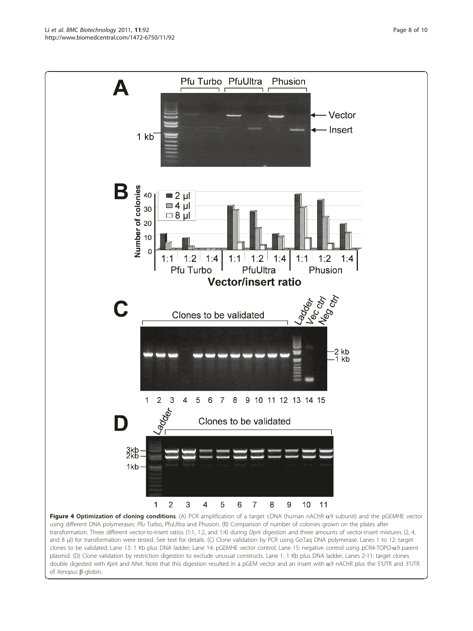<span id="page-9-0"></span>Li et al. BMC Biotechnology 2011, <sup>11</sup>:92 http://www.biomedcentral.com/1472-6750/11/92



plasmid. (D) Clone validation by restriction digestion to exclude unusual constructs. Lane 1: 1 Kb plus DNA ladder, Lanes 2-11: target clones double digested with KpnI and NheI. Note that this digestion resulted in a pGEM vector and an insert with  $\alpha$ 9 nAChR plus the 5'UTR and 3'UTR of Xenopus  $\beta$ -globin.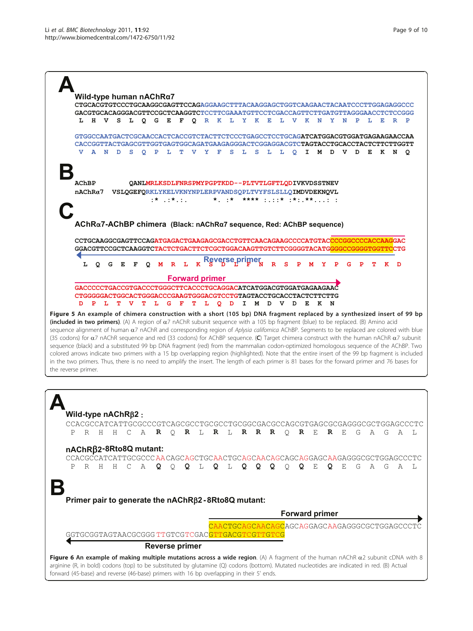<span id="page-10-0"></span>

arginine (R, in bold) codons (top) to be substituted by glutamine (Q) codons (bottom). Mutated nucleotides are indicated in red. (B) Actual forward (45-base) and reverse (46-base) primers with 16 bp overlapping in their 5' ends.